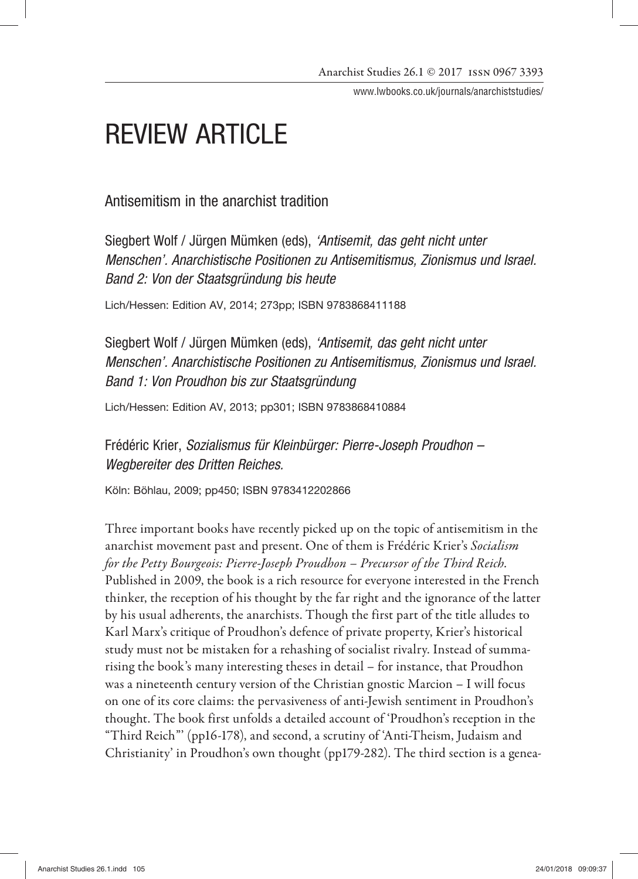www.lwbooks.co.uk/journals/anarchiststudies/

# REVIEW ARTICLE

Antisemitism in the anarchist tradition

Siegbert Wolf / Jürgen Mümken (eds), *'Antisemit, das geht nicht unter Menschen'. Anarchistische Positionen zu Antisemitismus, Zionismus und Israel. Band 2: Von der Staatsgründung bis heute*

Lich/Hessen: Edition AV, 2014; 273pp; ISBN 9783868411188

Siegbert Wolf / Jürgen Mümken (eds), *'Antisemit, das geht nicht unter Menschen'. Anarchistische Positionen zu Antisemitismus, Zionismus und Israel. Band 1: Von Proudhon bis zur Staatsgründung* 

Lich/Hessen: Edition AV, 2013; pp301; ISBN 9783868410884

Frédéric Krier, *Sozialismus für Kleinbürger: Pierre-Joseph Proudhon – Wegbereiter des Dritten Reiches.*

Köln: Böhlau, 2009; pp450; ISBN 9783412202866

Three important books have recently picked up on the topic of antisemitism in the anarchist movement past and present. One of them is Frédéric Krier's *Socialism for the Petty Bourgeois: Pierre-Joseph Proudhon – Precursor of the Third Reich.* Published in 2009, the book is a rich resource for everyone interested in the French thinker, the reception of his thought by the far right and the ignorance of the latter by his usual adherents, the anarchists. Though the first part of the title alludes to Karl Marx's critique of Proudhon's defence of private property, Krier's historical study must not be mistaken for a rehashing of socialist rivalry. Instead of summarising the book's many interesting theses in detail – for instance, that Proudhon was a nineteenth century version of the Christian gnostic Marcion – I will focus on one of its core claims: the pervasiveness of anti-Jewish sentiment in Proudhon's thought. The book first unfolds a detailed account of 'Proudhon's reception in the "Third Reich"' (pp16-178), and second, a scrutiny of 'Anti-Theism, Judaism and Christianity' in Proudhon's own thought (pp179-282). The third section is a genea-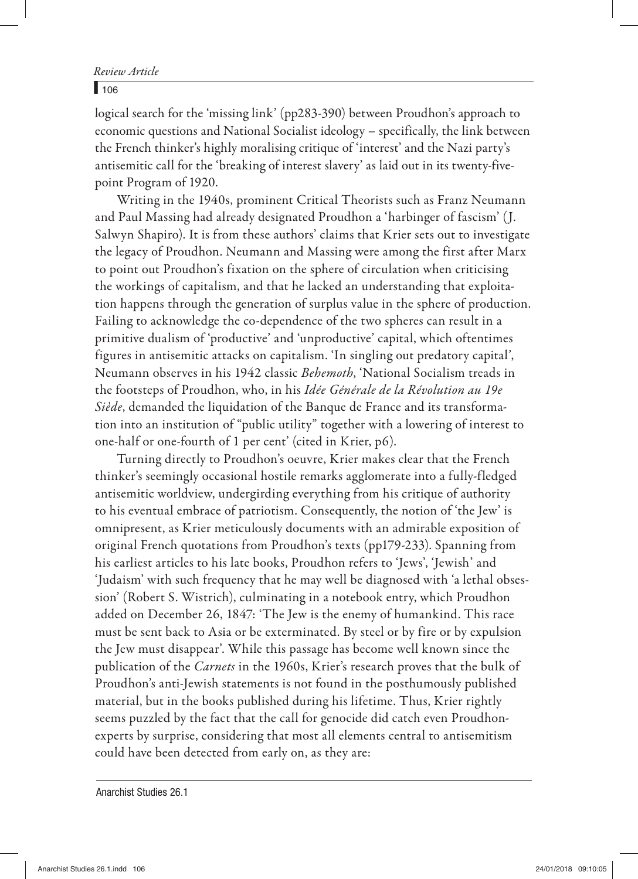#### Review Article

## *Review Article* y <sup>106</sup>

logical search for the 'missing link' (pp283-390) between Proudhon's approach to economic questions and National Socialist ideology – specifically, the link between the French thinker's highly moralising critique of 'interest' and the Nazi party's antisemitic call for the 'breaking of interest slavery' as laid out in its twenty-fivepoint Program of 1920.

Writing in the 1940s, prominent Critical Theorists such as Franz Neumann and Paul Massing had already designated Proudhon a 'harbinger of fascism' (J. Salwyn Shapiro). It is from these authors' claims that Krier sets out to investigate the legacy of Proudhon. Neumann and Massing were among the first after Marx to point out Proudhon's fixation on the sphere of circulation when criticising the workings of capitalism, and that he lacked an understanding that exploitation happens through the generation of surplus value in the sphere of production. Failing to acknowledge the co-dependence of the two spheres can result in a primitive dualism of 'productive' and 'unproductive' capital, which oftentimes figures in antisemitic attacks on capitalism. 'In singling out predatory capital', Neumann observes in his 1942 classic *Behemoth*, 'National Socialism treads in the footsteps of Proudhon, who, in his *Idée Générale de la Révolution au 19e Siède*, demanded the liquidation of the Banque de France and its transformation into an institution of "public utility" together with a lowering of interest to one-half or one-fourth of 1 per cent' (cited in Krier, p6).

Turning directly to Proudhon's oeuvre, Krier makes clear that the French thinker's seemingly occasional hostile remarks agglomerate into a fully-fledged antisemitic worldview, undergirding everything from his critique of authority to his eventual embrace of patriotism. Consequently, the notion of 'the Jew' is omnipresent, as Krier meticulously documents with an admirable exposition of original French quotations from Proudhon's texts (pp179-233). Spanning from his earliest articles to his late books, Proudhon refers to 'Jews', 'Jewish' and 'Judaism' with such frequency that he may well be diagnosed with 'a lethal obsession' (Robert S. Wistrich), culminating in a notebook entry, which Proudhon added on December 26, 1847: 'The Jew is the enemy of humankind. This race must be sent back to Asia or be exterminated. By steel or by fire or by expulsion the Jew must disappear'. While this passage has become well known since the publication of the *Carnets* in the 1960s, Krier's research proves that the bulk of Proudhon's anti-Jewish statements is not found in the posthumously published material, but in the books published during his lifetime. Thus, Krier rightly seems puzzled by the fact that the call for genocide did catch even Proudhonexperts by surprise, considering that most all elements central to antisemitism could have been detected from early on, as they are:

Anarchist Studies 26.1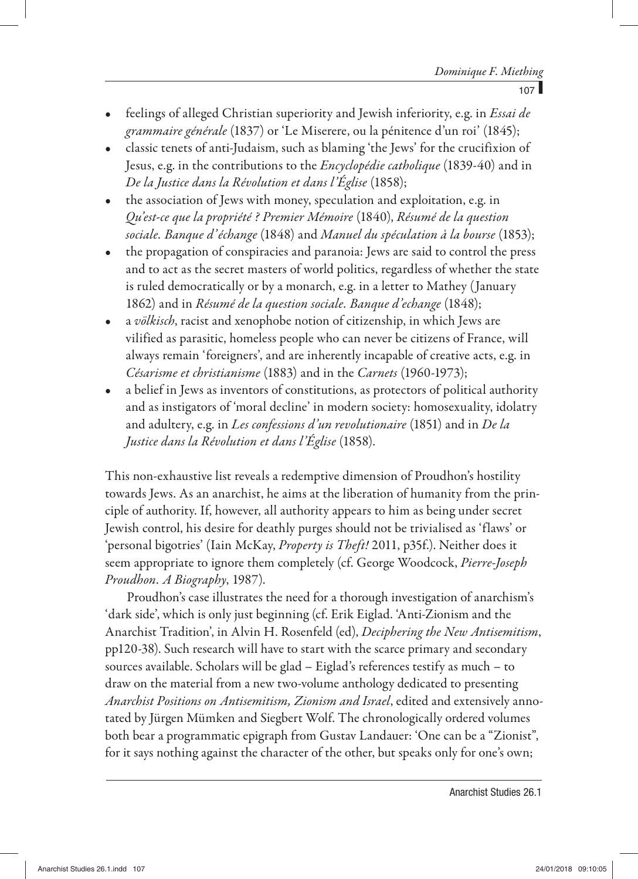- feelings of alleged Christian superiority and Jewish inferiority, e.g. in *Essai de grammaire générale* (1837) or 'Le Miserere, ou la pénitence d'un roi' (1845);
- classic tenets of anti-Judaism, such as blaming 'the Jews' for the crucifixion of Jesus, e.g. in the contributions to the *Encyclopédie catholique* (1839-40) and in *De la Justice dans la Révolution et dans l'Église* (1858);
- the association of Jews with money, speculation and exploitation, e.g. in *Qu'est-ce que la propriété ? Premier Mémoire* (1840), *Résumé de la question sociale. Banque d' échange* (1848) and *Manuel du spéculation à la bourse* (1853);
- the propagation of conspiracies and paranoia: Jews are said to control the press and to act as the secret masters of world politics, regardless of whether the state is ruled democratically or by a monarch, e.g. in a letter to Mathey (January 1862) and in *Résumé de la question sociale. Banque d'echange* (1848);
- a *völkisch*, racist and xenophobe notion of citizenship, in which Jews are vilified as parasitic, homeless people who can never be citizens of France, will always remain 'foreigners', and are inherently incapable of creative acts, e.g. in *Césarisme et christianisme* (1883) and in the *Carnets* (1960-1973);
- a belief in Jews as inventors of constitutions, as protectors of political authority and as instigators of 'moral decline' in modern society: homosexuality, idolatry and adultery, e.g. in *Les confessions d'un revolutionaire* (1851) and in *De la Justice dans la Révolution et dans l'Église* (1858).

This non-exhaustive list reveals a redemptive dimension of Proudhon's hostility towards Jews. As an anarchist, he aims at the liberation of humanity from the principle of authority. If, however, all authority appears to him as being under secret Jewish control, his desire for deathly purges should not be trivialised as 'flaws' or 'personal bigotries' (Iain McKay, *Property is Theft!* 2011, p35f.). Neither does it seem appropriate to ignore them completely (cf. George Woodcock, *Pierre-Joseph Proudhon. A Biography*, 1987).

Proudhon's case illustrates the need for a thorough investigation of anarchism's 'dark side', which is only just beginning (cf. Erik Eiglad. 'Anti-Zionism and the Anarchist Tradition', in Alvin H. Rosenfeld (ed), *Deciphering the New Antisemitism*, pp120 -38). Such research will have to start with the scarce primary and secondary sources available. Scholars will be glad – Eiglad's references testify as much – to draw on the material from a new two-volume anthology dedicated to presenting *Anarchist Positions on Antisemitism, Zionism and Israel*, edited and extensively annotated by Jürgen Mümken and Siegbert Wolf. The chronologically ordered volumes both bear a programmatic epigraph from Gustav Landauer: 'One can be a "Zionist", for it says nothing against the character of the other, but speaks only for one's own;

Anarchist Studies 26.1